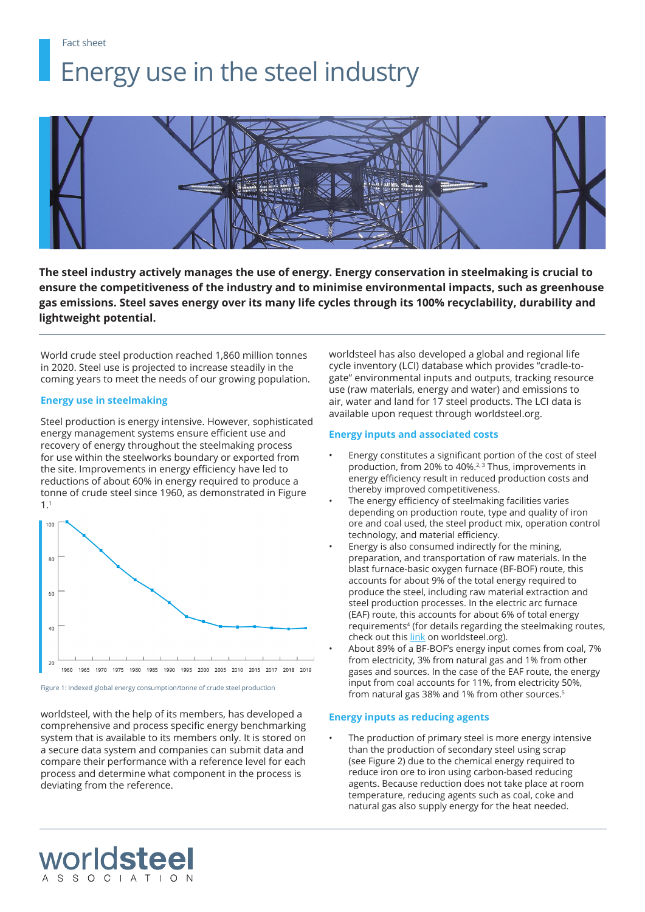Fact sheet

# Energy use in the steel industry



**The steel industry actively manages the use of energy. Energy conservation in steelmaking is crucial to ensure the competitiveness of the industry and to minimise environmental impacts, such as greenhouse gas emissions. Steel saves energy over its many life cycles through its 100% recyclability, durability and lightweight potential.**

World crude steel production reached 1,860 million tonnes in 2020. Steel use is projected to increase steadily in the coming years to meet the needs of our growing population.

## **Energy use in steelmaking**

Steel production is energy intensive. However, sophisticated energy management systems ensure efficient use and recovery of energy throughout the steelmaking process for use within the steelworks boundary or exported from the site. Improvements in energy efficiency have led to reductions of about 60% in energy required to produce a tonne of crude steel since 1960, as demonstrated in Figure 1.1



Figure 1: Indexed global energy consumption/tonne of crude steel production

worldsteel

worldsteel, with the help of its members, has developed a comprehensive and process specific energy benchmarking system that is available to its members only. It is stored on a secure data system and companies can submit data and compare their performance with a reference level for each process and determine what component in the process is deviating from the reference.

worldsteel has also developed a global and regional life cycle inventory (LCI) database which provides "cradle-togate" environmental inputs and outputs, tracking resource use (raw materials, energy and water) and emissions to air, water and land for 17 steel products. The LCI data is available upon request through worldsteel.org.

## **Energy inputs and associated costs**

- Energy constitutes a significant portion of the cost of steel production, from 20% to 40%.<sup>2, 3</sup> Thus, improvements in energy efficiency result in reduced production costs and thereby improved competitiveness.
- The energy efficiency of steelmaking facilities varies depending on production route, type and quality of iron ore and coal used, the steel product mix, operation control technology, and material efficiency.
- Energy is also consumed indirectly for the mining, preparation, and transportation of raw materials. In the blast furnace-basic oxygen furnace (BF-BOF) route, this accounts for about 9% of the total energy required to produce the steel, including raw material extraction and steel production processes. In the electric arc furnace (EAF) route, this accounts for about 6% of total energy requirements<sup>4</sup> (for details regarding the steelmaking routes, check out this [link](https://worldsteel.org/about-steel/about-steel/steelmaking/) on worldsteel.org).
- About 89% of a BF-BOF's energy input comes from coal, 7% from electricity, 3% from natural gas and 1% from other gases and sources. In the case of the EAF route, the energy input from coal accounts for 11%, from electricity 50%, from natural gas 38% and 1% from other sources.5

## **Energy inputs as reducing agents**

The production of primary steel is more energy intensive than the production of secondary steel using scrap (see Figure 2) due to the chemical energy required to reduce iron ore to iron using carbon-based reducing agents. Because reduction does not take place at room temperature, reducing agents such as coal, coke and natural gas also supply energy for the heat needed.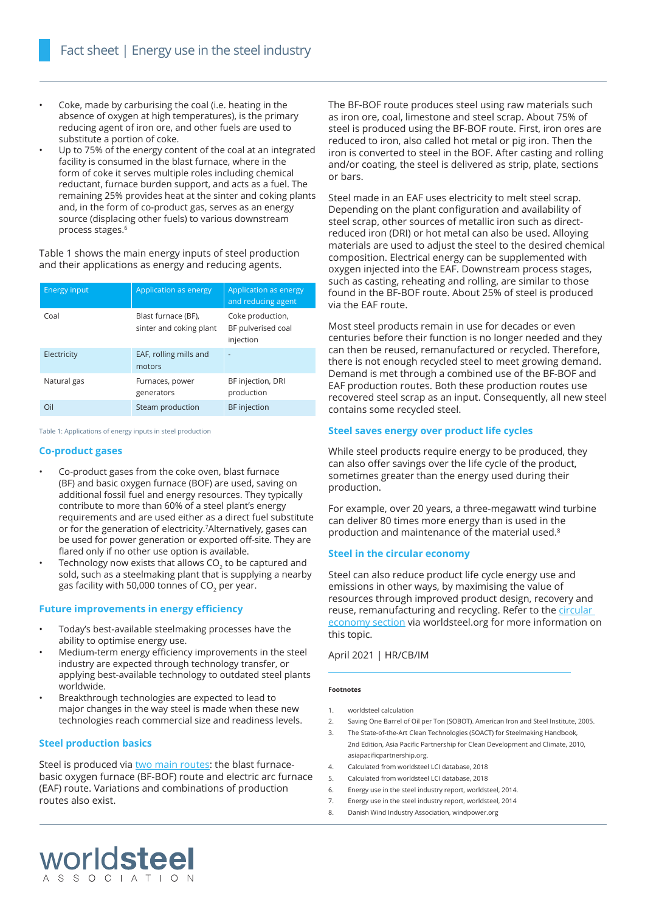- Coke, made by carburising the coal (i.e. heating in the absence of oxygen at high temperatures), is the primary reducing agent of iron ore, and other fuels are used to substitute a portion of coke.
- Up to 75% of the energy content of the coal at an integrated facility is consumed in the blast furnace, where in the form of coke it serves multiple roles including chemical reductant, furnace burden support, and acts as a fuel. The remaining 25% provides heat at the sinter and coking plants and, in the form of co-product gas, serves as an energy source (displacing other fuels) to various downstream process stages.6

Table 1 shows the main energy inputs of steel production and their applications as energy and reducing agents.

| <b>Energy input</b> | Application as energy                          | Application as energy<br>and reducing agent         |
|---------------------|------------------------------------------------|-----------------------------------------------------|
| Coal                | Blast furnace (BF),<br>sinter and coking plant | Coke production,<br>BF pulverised coal<br>injection |
| Electricity         | EAF, rolling mills and<br>motors               |                                                     |
| Natural gas         | Furnaces, power<br>generators                  | BF injection, DRI<br>production                     |
| Oil                 | Steam production                               | <b>BF</b> injection                                 |

Table 1: Applications of energy inputs in steel production

#### **Co-product gases**

- Co-product gases from the coke oven, blast furnace (BF) and basic oxygen furnace (BOF) are used, saving on additional fossil fuel and energy resources. They typically contribute to more than 60% of a steel plant's energy requirements and are used either as a direct fuel substitute or for the generation of electricity.7Alternatively, gases can be used for power generation or exported off-site. They are flared only if no other use option is available.
- Technology now exists that allows CO<sub>2</sub> to be captured and sold, such as a steelmaking plant that is supplying a nearby gas facility with 50,000 tonnes of  $CO<sub>2</sub>$  per year.

### **Future improvements in energy efficiency**

- Today's best-available steelmaking processes have the ability to optimise energy use.
- Medium-term energy efficiency improvements in the steel industry are expected through technology transfer, or applying best-available technology to outdated steel plants worldwide.
- Breakthrough technologies are expected to lead to major changes in the way steel is made when these new technologies reach commercial size and readiness levels.

#### **Steel production basics**

worldsteel

Steel is produced via [two main routes:](https://worldsteel.org/about-steel/about-steel/steelmaking/) the blast furnacebasic oxygen furnace (BF-BOF) route and electric arc furnace (EAF) route. Variations and combinations of production routes also exist.

The BF-BOF route produces steel using raw materials such as iron ore, coal, limestone and steel scrap. About 75% of steel is produced using the BF-BOF route. First, iron ores are reduced to iron, also called hot metal or pig iron. Then the iron is converted to steel in the BOF. After casting and rolling and/or coating, the steel is delivered as strip, plate, sections or bars.

Steel made in an EAF uses electricity to melt steel scrap. Depending on the plant configuration and availability of steel scrap, other sources of metallic iron such as directreduced iron (DRI) or hot metal can also be used. Alloying materials are used to adjust the steel to the desired chemical composition. Electrical energy can be supplemented with oxygen injected into the EAF. Downstream process stages, such as casting, reheating and rolling, are similar to those found in the BF-BOF route. About 25% of steel is produced via the EAF route.

Most steel products remain in use for decades or even centuries before their function is no longer needed and they can then be reused, remanufactured or recycled. Therefore, there is not enough recycled steel to meet growing demand. Demand is met through a combined use of the BF-BOF and EAF production routes. Both these production routes use recovered steel scrap as an input. Consequently, all new steel contains some recycled steel.

#### **Steel saves energy over product life cycles**

While steel products require energy to be produced, they can also offer savings over the life cycle of the product, sometimes greater than the energy used during their production.

For example, over 20 years, a three-megawatt wind turbine can deliver 80 times more energy than is used in the production and maintenance of the material used.<sup>8</sup>

#### **Steel in the circular economy**

Steel can also reduce product life cycle energy use and emissions in other ways, by maximising the value of resources through improved product design, recovery and reuse, remanufacturing and recycling. Refer to the circular [economy section](https://worldsteel.org/circulareconomy/) via worldsteel.org for more information on this topic.

#### April 2021 | HR/CB/IM

#### **Footnotes**

- 1. worldsteel calculation
- 2. Saving One Barrel of Oil per Ton (SOBOT). American Iron and Steel Institute, 2005.
- 3. The State-of-the-Art Clean Technologies (SOACT) for Steelmaking Handbook, 2nd Edition, Asia Pacific Partnership for Clean Development and Climate, 2010, asiapacificpartnership.org.
- 4. Calculated from worldsteel LCI database, 2018
- 5. Calculated from worldsteel LCI database, 2018
- 6. Energy use in the steel industry report, worldsteel, 2014.
- 7. Energy use in the steel industry report, worldsteel, 2014
- 8. Danish Wind Industry Association, windpower.org